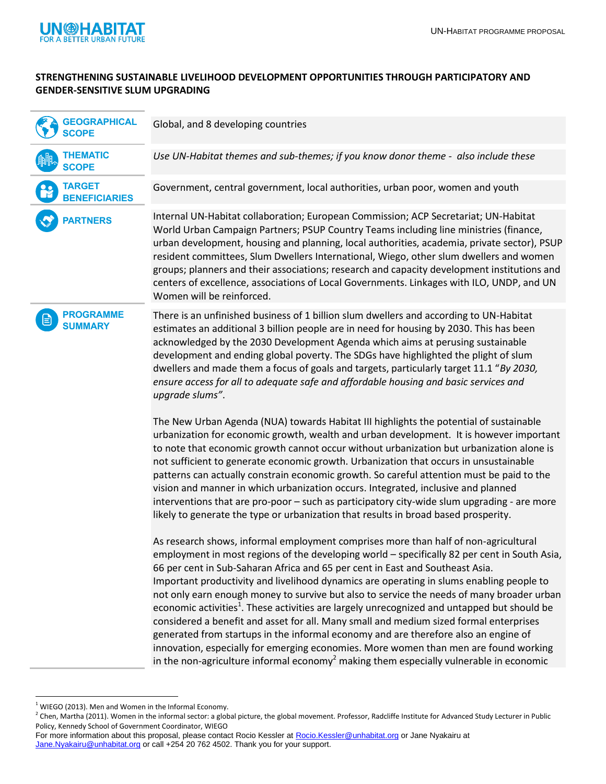

## **STRENGTHENING SUSTAINABLE LIVELIHOOD DEVELOPMENT OPPORTUNITIES THROUGH PARTICIPATORY AND GENDER-SENSITIVE SLUM UPGRADING**

| <b>GEOGRAPHICAL</b><br><b>SCOPE</b>                                                                                 | Global, and 8 developing countries                                                                                                                                                                                                                                                                                                                                                                                                                                                                                                                                                                                                                                                                                                                                                                                                                                                                                                                      |
|---------------------------------------------------------------------------------------------------------------------|---------------------------------------------------------------------------------------------------------------------------------------------------------------------------------------------------------------------------------------------------------------------------------------------------------------------------------------------------------------------------------------------------------------------------------------------------------------------------------------------------------------------------------------------------------------------------------------------------------------------------------------------------------------------------------------------------------------------------------------------------------------------------------------------------------------------------------------------------------------------------------------------------------------------------------------------------------|
| <b>THEMATIC</b><br><b>SCOPE</b>                                                                                     | Use UN-Habitat themes and sub-themes; if you know donor theme - also include these                                                                                                                                                                                                                                                                                                                                                                                                                                                                                                                                                                                                                                                                                                                                                                                                                                                                      |
| <b>TARGET</b><br><b>BENEFICIARIES</b>                                                                               | Government, central government, local authorities, urban poor, women and youth                                                                                                                                                                                                                                                                                                                                                                                                                                                                                                                                                                                                                                                                                                                                                                                                                                                                          |
| <b>PARTNERS</b>                                                                                                     | Internal UN-Habitat collaboration; European Commission; ACP Secretariat; UN-Habitat<br>World Urban Campaign Partners; PSUP Country Teams including line ministries (finance,<br>urban development, housing and planning, local authorities, academia, private sector), PSUP<br>resident committees, Slum Dwellers International, Wiego, other slum dwellers and women<br>groups; planners and their associations; research and capacity development institutions and<br>centers of excellence, associations of Local Governments. Linkages with ILO, UNDP, and UN<br>Women will be reinforced.                                                                                                                                                                                                                                                                                                                                                          |
| <b>PROGRAMME</b><br><b>SUMMARY</b>                                                                                  | There is an unfinished business of 1 billion slum dwellers and according to UN-Habitat<br>estimates an additional 3 billion people are in need for housing by 2030. This has been<br>acknowledged by the 2030 Development Agenda which aims at perusing sustainable<br>development and ending global poverty. The SDGs have highlighted the plight of slum<br>dwellers and made them a focus of goals and targets, particularly target 11.1 "By 2030,<br>ensure access for all to adequate safe and affordable housing and basic services and<br>upgrade slums".                                                                                                                                                                                                                                                                                                                                                                                        |
|                                                                                                                     | The New Urban Agenda (NUA) towards Habitat III highlights the potential of sustainable<br>urbanization for economic growth, wealth and urban development. It is however important<br>to note that economic growth cannot occur without urbanization but urbanization alone is<br>not sufficient to generate economic growth. Urbanization that occurs in unsustainable<br>patterns can actually constrain economic growth. So careful attention must be paid to the<br>vision and manner in which urbanization occurs. Integrated, inclusive and planned<br>interventions that are pro-poor - such as participatory city-wide slum upgrading - are more<br>likely to generate the type or urbanization that results in broad based prosperity.                                                                                                                                                                                                          |
|                                                                                                                     | As research shows, informal employment comprises more than half of non-agricultural<br>employment in most regions of the developing world - specifically 82 per cent in South Asia,<br>66 per cent in Sub-Saharan Africa and 65 per cent in East and Southeast Asia.<br>Important productivity and livelihood dynamics are operating in slums enabling people to<br>not only earn enough money to survive but also to service the needs of many broader urban<br>economic activities <sup>1</sup> . These activities are largely unrecognized and untapped but should be<br>considered a benefit and asset for all. Many small and medium sized formal enterprises<br>generated from startups in the informal economy and are therefore also an engine of<br>innovation, especially for emerging economies. More women than men are found working<br>in the non-agriculture informal economy <sup>2</sup> making them especially vulnerable in economic |
| $1$ WIEGO (2013). Men and Women in the Informal Economy.<br>Policy, Kennedy School of Government Coordinator, WIEGO | <sup>2</sup> Chen, Martha (2011). Women in the informal sector: a global picture, the global movement. Professor, Radcliffe Institute for Advanced Study Lecturer in Public                                                                                                                                                                                                                                                                                                                                                                                                                                                                                                                                                                                                                                                                                                                                                                             |

 $1$  WIEGO (2013). Men and Women in the Informal Economy.

For more information about this proposal, please contact Rocio Kessler at [Rocio.Kessler@unhabitat.org](mailto:Rocio.Kessler@unhabitat.org) or Jane Nyakairu at [Jane.Nyakairu@unhabitat.org](mailto:Jane.Nyakairu@unhabitat.org) or call +254 20 762 4502. Thank you for your support.

 $^2$  Chen, Martha (2011). Women in the informal sector: a global picture, the global movement. Professor, Radcliffe Institute for Advanced Study Lecturer in Public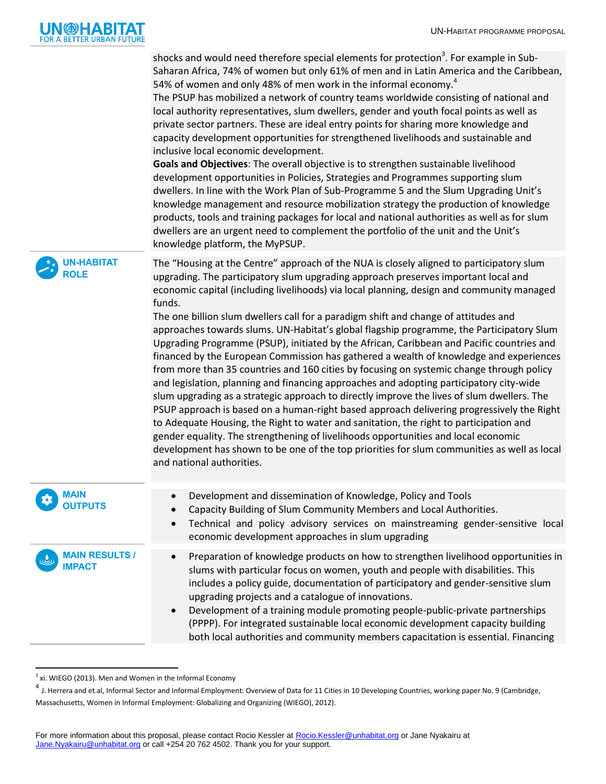

|                                        | shocks and would need therefore special elements for protection <sup>3</sup> . For example in Sub-<br>Saharan Africa, 74% of women but only 61% of men and in Latin America and the Caribbean,<br>54% of women and only 48% of men work in the informal economy. <sup>4</sup><br>The PSUP has mobilized a network of country teams worldwide consisting of national and<br>local authority representatives, slum dwellers, gender and youth focal points as well as<br>private sector partners. These are ideal entry points for sharing more knowledge and<br>capacity development opportunities for strengthened livelihoods and sustainable and<br>inclusive local economic development.<br>Goals and Objectives: The overall objective is to strengthen sustainable livelihood<br>development opportunities in Policies, Strategies and Programmes supporting slum<br>dwellers. In line with the Work Plan of Sub-Programme 5 and the Slum Upgrading Unit's<br>knowledge management and resource mobilization strategy the production of knowledge<br>products, tools and training packages for local and national authorities as well as for slum<br>dwellers are an urgent need to complement the portfolio of the unit and the Unit's<br>knowledge platform, the MyPSUP.                                                                               |
|----------------------------------------|---------------------------------------------------------------------------------------------------------------------------------------------------------------------------------------------------------------------------------------------------------------------------------------------------------------------------------------------------------------------------------------------------------------------------------------------------------------------------------------------------------------------------------------------------------------------------------------------------------------------------------------------------------------------------------------------------------------------------------------------------------------------------------------------------------------------------------------------------------------------------------------------------------------------------------------------------------------------------------------------------------------------------------------------------------------------------------------------------------------------------------------------------------------------------------------------------------------------------------------------------------------------------------------------------------------------------------------------------------------|
| <b>UN-HABITAT</b><br><b>ROLE</b>       | The "Housing at the Centre" approach of the NUA is closely aligned to participatory slum<br>upgrading. The participatory slum upgrading approach preserves important local and<br>economic capital (including livelihoods) via local planning, design and community managed<br>funds.<br>The one billion slum dwellers call for a paradigm shift and change of attitudes and<br>approaches towards slums. UN-Habitat's global flagship programme, the Participatory Slum<br>Upgrading Programme (PSUP), initiated by the African, Caribbean and Pacific countries and<br>financed by the European Commission has gathered a wealth of knowledge and experiences<br>from more than 35 countries and 160 cities by focusing on systemic change through policy<br>and legislation, planning and financing approaches and adopting participatory city-wide<br>slum upgrading as a strategic approach to directly improve the lives of slum dwellers. The<br>PSUP approach is based on a human-right based approach delivering progressively the Right<br>to Adequate Housing, the Right to water and sanitation, the right to participation and<br>gender equality. The strengthening of livelihoods opportunities and local economic<br>development has shown to be one of the top priorities for slum communities as well as local<br>and national authorities. |
| <b>MAIN</b><br><b>OUTPUTS</b>          | Development and dissemination of Knowledge, Policy and Tools<br>Capacity Building of Slum Community Members and Local Authorities.<br>Technical and policy advisory services on mainstreaming gender-sensitive local<br>$\bullet$<br>economic development approaches in slum upgrading                                                                                                                                                                                                                                                                                                                                                                                                                                                                                                                                                                                                                                                                                                                                                                                                                                                                                                                                                                                                                                                                        |
| <b>MAIN RESULTS /</b><br><b>IMPACT</b> | Preparation of knowledge products on how to strengthen livelihood opportunities in<br>$\bullet$<br>slums with particular focus on women, youth and people with disabilities. This<br>includes a policy guide, documentation of participatory and gender-sensitive slum<br>upgrading projects and a catalogue of innovations.<br>Development of a training module promoting people-public-private partnerships<br>$\bullet$<br>(PPPP). For integrated sustainable local economic development capacity building<br>both local authorities and community members capacitation is essential. Financing                                                                                                                                                                                                                                                                                                                                                                                                                                                                                                                                                                                                                                                                                                                                                            |

a<br><sup>3</sup> xi. WIEGO (2013). Men and Women in the Informal Economy

<sup>&</sup>lt;sup>4</sup> J. Herrera and et.al, Informal Sector and Informal Employment: Overview of Data for 11 Cities in 10 Developing Countries, working paper No. 9 (Cambridge, Massachusetts, Women in Informal Employment: Globalizing and Organizing (WIEGO), 2012).